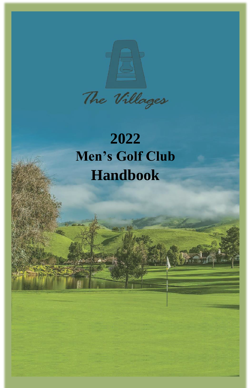

# **2022 Men's Golf Club Handbook**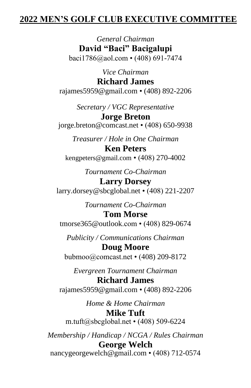### **2022 MEN'S GOLF CLUB EXECUTIVE COMMITTEE**

*General Chairman* **David "Baci" Bacigalupi** baci1786@aol.com • (408) 691-7474

*Vice Chairman* **Richard James** rajames5959@gmail.com • (408) 892-2206

*Secretary / VGC Representative* **Jorge Breton** jorge.breton@comcast.net • (408) 650-9938

*Treasurer / Hole in One Chairman* **Ken Peters**

kengpeters@gmail.com • (408) 270-4002

*Tournament Co-Chairman* **Larry Dorsey** larry.dorsey@sbcglobal.net • (408) 221-2207

*Tournament Co-Chairman* **Tom Morse** tmorse365@outlook.com • (408) 829-0674

*Publicity / Communications Chairman* **Doug Moore**

bubmoo@comcast.net • (408) 209-8172

*Evergreen Tournament Chairman* **Richard James**

rajames5959@gmail.com • (408) 892-2206

*Home & Home Chairman* **Mike Tuft** m.tuft@sbcglobal.net • (408) 509-6224

*Membership / Handicap / NCGA / Rules Chairman* **George Welch** nancygeorgewelch@gmail.com • (408) 712-0574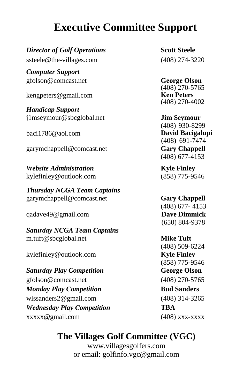## **Executive Committee Support**

*Director of Golf Operations* **Scott Steele** ssteele@the-villages.com (408) 274-3220

*Computer Support* gfolson@comcast.net **George Olson**

kengpeters@gmail.com

*Handicap Support*  j1mseymour@sbcglobal.net **Jim Seymour**

baci1786@aol.com **David Bacigalupi**

garymchappell@comcast.net **Gary Chappell**

*Website Administration* **Kyle Finley** kylefinley@outlook.com (858) 775-9546

*Thursday NCGA Team Captains* garymchappell@comcast.net **Gary Chappell**

qadave49@gmail.com **Dave Dimmick**

*Saturday NCGA Team Captains* m.tuft@sbcglobal.net **Mike Tuft**

kylefinley@outlook.com **Kyle Finley**

*Saturday Play Competition* **George Olson** gfolson@comcast.net (408) 270-5765 *Monday Play Competition* **Bud Sanders** wlssanders2@gmail.com (408) 314-3265 *Wednesday Play Competition* **TBA** xxxxx@gmail.com (408) xxx-xxxx

(408) 270-5765<br>**Ken Peters** (408) 270-4002

(408) 930-8299 (408) 691-7474 (408) 677-4153

(408) 677- 4153 (650) 804-9378

(408) 509-6224 (858) 775-9546

### **The Villages Golf Committee (VGC)**

www.villagesgolfers.com or email: golfinfo.vgc@gmail.com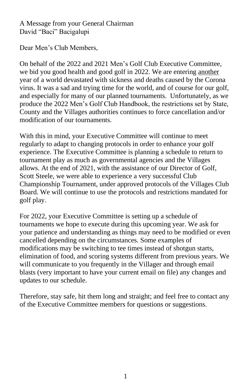A Message from your General Chairman David "Baci" Bacigalupi

Dear Men's Club Members,

On behalf of the 2022 and 2021 Men's Golf Club Executive Committee, we bid you good health and good golf in 2022. We are entering another year of a world devastated with sickness and deaths caused by the Corona virus. It was a sad and trying time for the world, and of course for our golf, and especially for many of our planned tournaments. Unfortunately, as we produce the 2022 Men's Golf Club Handbook, the restrictions set by State, County and the Villages authorities continues to force cancellation and/or modification of our tournaments.

With this in mind, your Executive Committee will continue to meet regularly to adapt to changing protocols in order to enhance your golf experience. The Executive Committee is planning a schedule to return to tournament play as much as governmental agencies and the Villages allows. At the end of 2021, with the assistance of our Director of Golf, Scott Steele, we were able to experience a very successful Club Championship Tournament, under approved protocols of the Villages Club Board. We will continue to use the protocols and restrictions mandated for golf play.

For 2022, your Executive Committee is setting up a schedule of tournaments we hope to execute during this upcoming year. We ask for your patience and understanding as things may need to be modified or even cancelled depending on the circumstances. Some examples of modifications may be switching to tee times instead of shotgun starts, elimination of food, and scoring systems different from previous years. We will communicate to you frequently in the Villager and through email blasts (very important to have your current email on file) any changes and updates to our schedule.

Therefore, stay safe, hit them long and straight; and feel free to contact any of the Executive Committee members for questions or suggestions.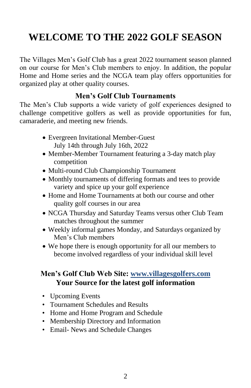# **WELCOME TO THE 2022 GOLF SEASON**

The Villages Men's Golf Club has a great 2022 tournament season planned on our course for Men's Club members to enjoy. In addition, the popular Home and Home series and the NCGA team play offers opportunities for organized play at other quality courses.

#### **Men's Golf Club Tournaments**

The Men's Club supports a wide variety of golf experiences designed to challenge competitive golfers as well as provide opportunities for fun, camaraderie, and meeting new friends.

- Evergreen Invitational Member-Guest July 14th through July 16th, 2022
- Member-Member Tournament featuring a 3-day match play competition
- Multi-round Club Championship Tournament
- Monthly tournaments of differing formats and tees to provide variety and spice up your golf experience
- Home and Home Tournaments at both our course and other quality golf courses in our area
- NCGA Thursday and Saturday Teams versus other Club Team matches throughout the summer
- Weekly informal games Monday, and Saturdays organized by Men's Club members
- We hope there is enough opportunity for all our members to become involved regardless of your individual skill level

#### **Men's Golf Club Web Site: www.villagesgolfers.com Your Source for the latest golf information**

- Upcoming Events
- Tournament Schedules and Results
- Home and Home Program and Schedule
- Membership Directory and Information
- Email- News and Schedule Changes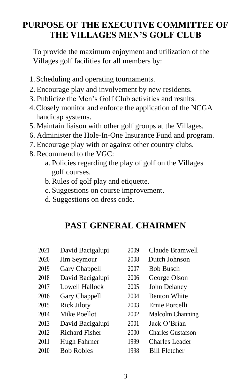### **PURPOSE OF THE EXECUTIVE COMMITTEE OF THE VILLAGES MEN'S GOLF CLUB**

To provide the maximum enjoyment and utilization of the Villages golf facilities for all members by:

- 1.Scheduling and operating tournaments.
- 2. Encourage play and involvement by new residents.
- 3. Publicize the Men's Golf Club activities and results.
- 4.Closely monitor and enforce the application of the NCGA handicap systems.
- 5. Maintain liaison with other golf groups at the Villages.
- 6. Administer the Hole-In-One Insurance Fund and program.
- 7. Encourage play with or against other country clubs.
- 8. Recommend to the VGC:
	- a. Policies regarding the play of golf on the Villages golf courses.
	- b.Rules of golf play and etiquette.
	- c. Suggestions on course improvement.
	- d. Suggestions on dress code.

### **PAST GENERAL CHAIRMEN**

| 2021 | David Bacigalupi      | 2009 | Claude Bramwell          |
|------|-----------------------|------|--------------------------|
| 2020 | Jim Seymour           | 2008 | Dutch Johnson            |
| 2019 | Gary Chappell         | 2007 | <b>Bob Busch</b>         |
| 2018 | David Bacigalupi      | 2006 | George Olson             |
| 2017 | <b>Lowell Hallock</b> | 2005 | John Delaney             |
| 2016 | Gary Chappell         | 2004 | <b>Benton White</b>      |
| 2015 | <b>Rick Jiloty</b>    | 2003 | Ernie Porcelli           |
| 2014 | Mike Poellot          | 2002 | Malcolm Channing         |
| 2013 | David Bacigalupi      | 2001 | Jack O'Brian             |
| 2012 | <b>Richard Fisher</b> | 2000 | <b>Charles Gustafson</b> |
| 2011 | <b>Hugh Fahrner</b>   | 1999 | <b>Charles Leader</b>    |
| 2010 | <b>Bob Robles</b>     | 1998 | <b>Bill Fletcher</b>     |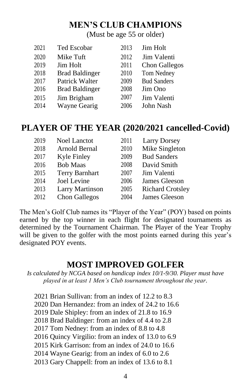### **MEN'S CLUB CHAMPIONS**

(Must be age 55 or older)

| 2021 | Ted Escobar           | 2013 | Jim Holt             |
|------|-----------------------|------|----------------------|
| 2020 | Mike Tuft             | 2012 | Jim Valenti          |
| 2019 | Jim Holt              | 2011 | <b>Chon Gallegos</b> |
| 2018 | <b>Brad Baldinger</b> | 2010 | Tom Nedney           |
| 2017 | Patrick Walter        | 2009 | <b>Bud Sanders</b>   |
| 2016 | <b>Brad Baldinger</b> | 2008 | Jim Ono              |
| 2015 | Jim Brigham           | 2007 | Jim Valenti          |
| 2014 | <b>Wayne Gearig</b>   | 2006 | John Nash            |

### **PLAYER OF THE YEAR (2020/2021 cancelled-Covid)**

| 2019 | <b>Noel Lanctot</b>    | 2011 | <b>Larry Dorsey</b>     |
|------|------------------------|------|-------------------------|
| 2018 | Arnold Bernal          | 2010 | Mike Singleton          |
| 2017 | Kyle Finley            | 2009 | <b>Bud Sanders</b>      |
| 2016 | <b>Bob Maas</b>        | 2008 | David Smith             |
| 2015 | <b>Terry Barnhart</b>  | 2007 | Jim Valenti             |
| 2014 | Joel Levine            | 2006 | James Gleeson           |
| 2013 | <b>Larry Martinson</b> | 2005 | <b>Richard Crotsley</b> |
| 2012 | <b>Chon Gallegos</b>   | 2004 | James Gleeson           |

The Men's Golf Club names its "Player of the Year" (POY) based on points earned by the top winner in each flight for designated tournaments as determined by the Tournament Chairman. The Player of the Year Trophy will be given to the golfer with the most points earned during this year's designated POY events.

#### **MOST IMPROVED GOLFER**

*Is calculated by NCGA based on handicap index 10/1-9/30. Player must have played in at least 1 Men's Club tournament throughout the year.*

2021 Brian Sullivan: from an index of 12.2 to 8.3 2020 Dan Hernandez: from an index of 24.2 to 16.6 2019 Dale Shipley: from an index of 21.8 to 16.9 2018 Brad Baldinger: from an index of 4.4 to 2.8 2017 Tom Nedney: from an index of 8.8 to 4.8 2016 Quincy Virgilio: from an index of 13.0 to 6.9 2015 Kirk Garrison: from an index of 24.0 to 16.6 2014 Wayne Gearig: from an index of 6.0 to 2.6 2013 Gary Chappell: from an index of 13.6 to 8.1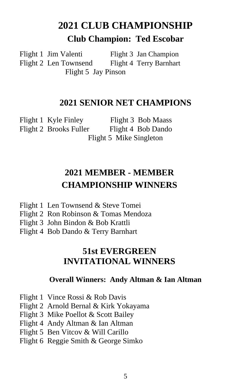### **2021 CLUB CHAMPIONSHIP Club Champion: Ted Escobar**

Flight 1 Jim Valenti Flight 3 Jan Champion Flight 2 Len Townsend Flight 4 Terry Barnhart Flight 5 Jay Pinson

#### **2021 SENIOR NET CHAMPIONS**

Flight 1 Kyle Finley Flight 3 Bob Maass Flight 2 Brooks Fuller Flight 4 Bob Dando Flight 5 Mike Singleton

### **2021 MEMBER - MEMBER CHAMPIONSHIP WINNERS**

- Flight 1 Len Townsend & Steve Tomei
- Flight 2 Ron Robinson & Tomas Mendoza
- Flight 3 John Bindon & Bob Krattli
- Flight 4 Bob Dando & Terry Barnhart

### **51st EVERGREEN INVITATIONAL WINNERS**

#### **Overall Winners: Andy Altman & Ian Altman**

- Flight 1 Vince Rossi & Rob Davis
- Flight 2 Arnold Bernal & Kirk Yokayama
- Flight 3 Mike Poellot & Scott Bailey
- Flight 4 Andy Altman & Ian Altman
- Flight 5 Ben Vitcov & Will Carillo
- Flight 6 Reggie Smith & George Simko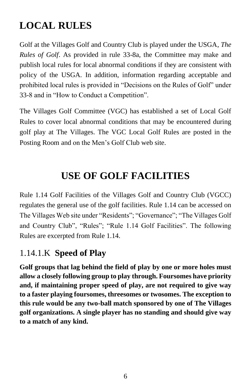# **LOCAL RULES**

Golf at the Villages Golf and Country Club is played under the USGA, *The Rules of Golf*. As provided in rule 33-8a, the Committee may make and publish local rules for local abnormal conditions if they are consistent with policy of the USGA. In addition, information regarding acceptable and prohibited local rules is provided in "Decisions on the Rules of Golf" under 33-8 and in "How to Conduct a Competition".

The Villages Golf Committee (VGC) has established a set of Local Golf Rules to cover local abnormal conditions that may be encountered during golf play at The Villages. The VGC Local Golf Rules are posted in the Posting Room and on the Men's Golf Club web site.

### **USE OF GOLF FACILITIES**

Rule 1.14 Golf Facilities of the Villages Golf and Country Club (VGCC) regulates the general use of the golf facilities. Rule 1.14 can be accessed on The Villages Web site under "Residents"; "Governance"; "The Villages Golf and Country Club", "Rules"; "Rule 1.14 Golf Facilities". The following Rules are excerpted from Rule 1.14.

### 1.14.1.K **Speed of Play**

**Golf groups that lag behind the field of play by one or more holes must allow a closely following group to play through. Foursomes have priority and, if maintaining proper speed of play, are not required to give way to a faster playing foursomes, threesomes or twosomes. The exception to this rule would be any two-ball match sponsored by one of The Villages golf organizations. A single player has no standing and should give way to a match of any kind.**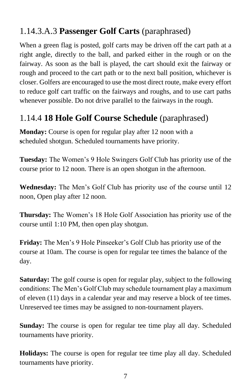### 1.14.3.A.3 **Passenger Golf Carts** (paraphrased)

When a green flag is posted, golf carts may be driven off the cart path at a right angle, directly to the ball, and parked either in the rough or on the fairway. As soon as the ball is played, the cart should exit the fairway or rough and proceed to the cart path or to the next ball position, whichever is closer. Golfers are encouraged to use the most direct route, make every effort to reduce golf cart traffic on the fairways and roughs, and to use cart paths whenever possible. Do not drive parallel to the fairways in the rough.

### 1.14.4 **18 Hole Golf Course Schedule** (paraphrased)

**Monday:** Course is open for regular play after 12 noon with a **s**cheduled shotgun. Scheduled tournaments have priority.

**Tuesday:** The Women's 9 Hole Swingers Golf Club has priority use of the course prior to 12 noon. There is an open shotgun in the afternoon.

**Wednesday:** The Men's Golf Club has priority use of the course until 12 noon, Open play after 12 noon.

**Thursday:** The Women's 18 Hole Golf Association has priority use of the course until 1:10 PM, then open play shotgun.

**Friday:** The Men's 9 Hole Pinseeker's Golf Club has priority use of the course at 10am. The course is open for regular tee times the balance of the day.

**Saturday:** The golf course is open for regular play, subject to the following conditions: The Men's Golf Club may schedule tournament play a maximum of eleven (11) days in a calendar year and may reserve a block of tee times. Unreserved tee times may be assigned to non-tournament players.

**Sunday:** The course is open for regular tee time play all day. Scheduled tournaments have priority.

**Holidays:** The course is open for regular tee time play all day. Scheduled tournaments have priority.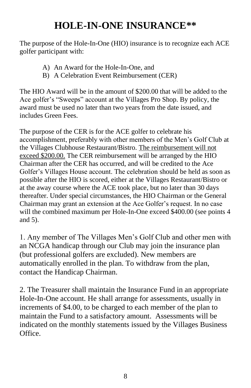## **HOLE-IN-ONE INSURANCE\*\***

The purpose of the Hole-In-One (HIO) insurance is to recognize each ACE golfer participant with:

- A) An Award for the Hole-In-One, and
- B) A Celebration Event Reimbursement (CER)

The HIO Award will be in the amount of \$200.00 that will be added to the Ace golfer's "Sweeps" account at the Villages Pro Shop. By policy, the award must be used no later than two years from the date issued, and includes Green Fees.

The purpose of the CER is for the ACE golfer to celebrate his accomplishment, preferably with other members of the Men's Golf Club at the Villages Clubhouse Restaurant/Bistro. The reimbursement will not exceed \$200.00. The CER reimbursement will be arranged by the HIO Chairman after the CER has occurred, and will be credited to the Ace Golfer's Villages House account. The celebration should be held as soon as possible after the HIO is scored, either at the Villages Restaurant/Bistro or at the away course where the ACE took place, but no later than 30 days thereafter. Under special circumstances, the HIO Chairman or the General Chairman may grant an extension at the Ace Golfer's request. In no case will the combined maximum per Hole-In-One exceed \$400.00 (see points 4 and 5).

1. Any member of The Villages Men's Golf Club and other men with an NCGA handicap through our Club may join the insurance plan (but professional golfers are excluded). New members are automatically enrolled in the plan. To withdraw from the plan, contact the Handicap Chairman.

2. The Treasurer shall maintain the Insurance Fund in an appropriate Hole-In-One account. He shall arrange for assessments, usually in increments of \$4.00, to be charged to each member of the plan to maintain the Fund to a satisfactory amount. Assessments will be indicated on the monthly statements issued by the Villages Business Office.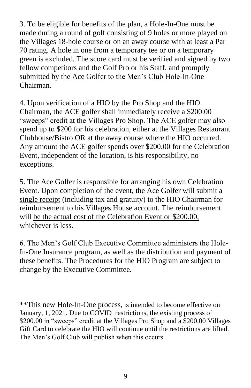3. To be eligible for benefits of the plan, a Hole-In-One must be made during a round of golf consisting of 9 holes or more played on the Villages 18-hole course or on an away course with at least a Par 70 rating. A hole in one from a temporary tee or on a temporary green is excluded. The score card must be verified and signed by two fellow competitors and the Golf Pro or his Staff, and promptly submitted by the Ace Golfer to the Men's Club Hole-In-One Chairman.

4. Upon verification of a HIO by the Pro Shop and the HIO Chairman, the ACE golfer shall immediately receive a \$200.00 "sweeps" credit at the Villages Pro Shop. The ACE golfer may also spend up to \$200 for his celebration, either at the Villages Restaurant Clubhouse/Bistro OR at the away course where the HIO occurred. Any amount the ACE golfer spends over \$200.00 for the Celebration Event, independent of the location, is his responsibility, no exceptions.

5. The Ace Golfer is responsible for arranging his own Celebration Event. Upon completion of the event, the Ace Golfer will submit a single receipt (including tax and gratuity) to the HIO Chairman for reimbursement to his Villages House account. The reimbursement will be the actual cost of the Celebration Event or \$200.00, whichever is less.

6. The Men's Golf Club Executive Committee administers the Hole-In-One Insurance program, as well as the distribution and payment of these benefits. The Procedures for the HIO Program are subject to change by the Executive Committee.

\*\*This new Hole-In-One process, is intended to become effective on January, 1, 2021. Due to COVID restrictions, the existing process of \$200.00 in "sweeps" credit at the Villages Pro Shop and a \$200.00 Villages Gift Card to celebrate the HIO will continue until the restrictions are lifted. The Men's Golf Club will publish when this occurs.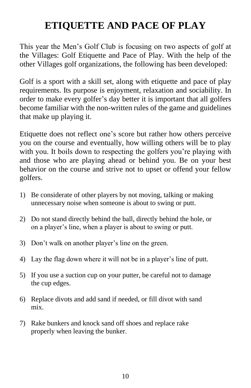# **ETIQUETTE AND PACE OF PLAY**

This year the Men's Golf Club is focusing on two aspects of golf at the Villages: Golf Etiquette and Pace of Play. With the help of the other Villages golf organizations, the following has been developed:

Golf is a sport with a skill set, along with etiquette and pace of play requirements. Its purpose is enjoyment, relaxation and sociability. In order to make every golfer's day better it is important that all golfers become familiar with the non-written rules of the game and guidelines that make up playing it.

Etiquette does not reflect one's score but rather how others perceive you on the course and eventually, how willing others will be to play with you. It boils down to respecting the golfers you're playing with and those who are playing ahead or behind you. Be on your best behavior on the course and strive not to upset or offend your fellow golfers.

- 1) Be considerate of other players by not moving, talking or making unnecessary noise when someone is about to swing or putt.
- 2) Do not stand directly behind the ball, directly behind the hole, or on a player's line, when a player is about to swing or putt.
- 3) Don't walk on another player's line on the green.
- 4) Lay the flag down where it will not be in a player's line of putt.
- 5) If you use a suction cup on your putter, be careful not to damage the cup edges.
- 6) Replace divots and add sand if needed, or fill divot with sand mix.
- 7) Rake bunkers and knock sand off shoes and replace rake properly when leaving the bunker.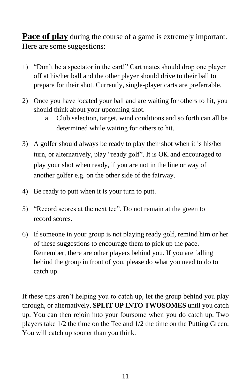**Pace of play** during the course of a game is extremely important. Here are some suggestions:

- 1) "Don't be a spectator in the cart!" Cart mates should drop one player off at his/her ball and the other player should drive to their ball to prepare for their shot. Currently, single-player carts are preferrable.
- 2) Once you have located your ball and are waiting for others to hit, you should think about your upcoming shot.
	- a. Club selection, target, wind conditions and so forth can all be determined while waiting for others to hit.
- 3) A golfer should always be ready to play their shot when it is his/her turn, or alternatively, play "ready golf". It is OK and encouraged to play your shot when ready, if you are not in the line or way of another golfer e.g. on the other side of the fairway.
- 4) Be ready to putt when it is your turn to putt.
- 5) "Record scores at the next tee". Do not remain at the green to record scores.
- 6) If someone in your group is not playing ready golf, remind him or her of these suggestions to encourage them to pick up the pace. Remember, there are other players behind you. If you are falling behind the group in front of you, please do what you need to do to catch up.

If these tips aren't helping you to catch up, let the group behind you play through, or alternatively, **SPLIT UP INTO TWOSOMES** until you catch up. You can then rejoin into your foursome when you do catch up. Two players take 1/2 the time on the Tee and 1/2 the time on the Putting Green. You will catch up sooner than you think.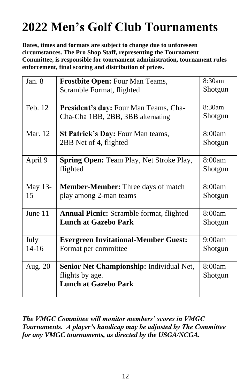# **2022 Men's Golf Club Tournaments**

**Dates, times and formats are subject to change due to unforeseen circumstances. The Pro Shop Staff, representing the Tournament Committee, is responsible for tournament administration, tournament rules enforcement, final scoring and distribution of prizes.**

| Jan. 8    | <b>Frostbite Open: Four Man Teams,</b>          | 8:30am  |
|-----------|-------------------------------------------------|---------|
|           | Scramble Format, flighted                       | Shotgun |
|           |                                                 |         |
| Feb. 12   | President's day: Four Man Teams, Cha-           | 8:30am  |
|           | Cha-Cha 1BB, 2BB, 3BB alternating               | Shotgun |
|           |                                                 |         |
| Mar. 12   | <b>St Patrick's Day: Four Man teams,</b>        | 8:00am  |
|           | 2BB Net of 4, flighted                          | Shotgun |
|           |                                                 |         |
| April 9   | <b>Spring Open: Team Play, Net Stroke Play,</b> | 8:00am  |
|           | flighted                                        | Shotgun |
|           |                                                 |         |
| May 13-   | <b>Member-Member:</b> Three days of match       | 8:00am  |
| 15        | play among 2-man teams                          | Shotgun |
|           |                                                 |         |
| June 11   | <b>Annual Picnic:</b> Scramble format, flighted | 8:00am  |
|           | <b>Lunch at Gazebo Park</b>                     | Shotgun |
|           |                                                 |         |
| July      | <b>Evergreen Invitational-Member Guest:</b>     | 9:00am  |
| $14 - 16$ | Format per committee                            | Shotgun |
|           |                                                 |         |
| Aug. 20   | Senior Net Championship: Individual Net,        | 8:00am  |
|           | flights by age.                                 | Shotgun |
|           | <b>Lunch at Gazebo Park</b>                     |         |
|           |                                                 |         |
|           |                                                 |         |

*The VMGC Committee will monitor members' scores in VMGC Tournaments. A player's handicap may be adjusted by The Committee for any VMGC tournaments, as directed by the USGA/NCGA.*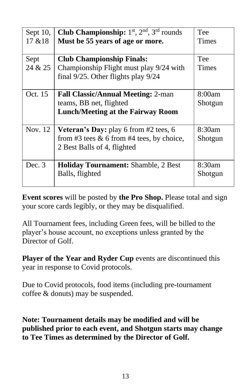| Sept $10$ ,<br>17 & 18 | <b>Club Championship:</b> $1st$ , $2nd$ , $3rd$ rounds<br>Must be 55 years of age or more.                                  | Tee<br>Times      |
|------------------------|-----------------------------------------------------------------------------------------------------------------------------|-------------------|
| Sept<br>24 & 25        | <b>Club Championship Finals:</b><br>Championship Flight must play 9/24 with<br>final $9/25$ . Other flights play $9/24$     | Tee<br>Times      |
| Oct. 15                | <b>Fall Classic/Annual Meeting: 2-man</b><br>teams, BB net, flighted<br><b>Lunch/Meeting at the Fairway Room</b>            | 8:00am<br>Shotgun |
| Nov. 12                | <b>Veteran's Day:</b> play 6 from #2 tees, 6<br>from #3 tees $\&$ 6 from #4 tees, by choice,<br>2 Best Balls of 4, flighted | 8:30am<br>Shotgun |
| Dec. $3$               | <b>Holiday Tournament: Shamble, 2 Best</b><br>Balls, flighted                                                               | 8:30am<br>Shotgun |

**Event scores** will be posted by **the Pro Shop.** Please total and sign your score cards legibly, or they may be disqualified.

All Tournament fees, including Green fees, will be billed to the player's house account, no exceptions unless granted by the Director of Golf.

**Player of the Year and Ryder Cup** events are discontinued this year in response to Covid protocols.

Due to Covid protocols, food items (including pre-tournament coffee & donuts) may be suspended.

**Note: Tournament details may be modified and will be published prior to each event, and Shotgun starts may change to Tee Times as determined by the Director of Golf.**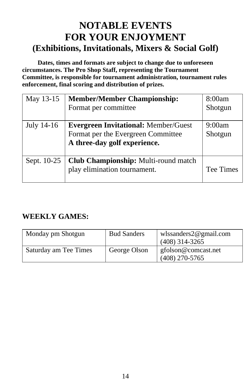### **NOTABLE EVENTS FOR YOUR ENJOYMENT (Exhibitions, Invitationals, Mixers & Social Golf)**

**Dates, times and formats are subject to change due to unforeseen circumstances. The Pro Shop Staff, representing the Tournament Committee, is responsible for tournament administration, tournament rules enforcement, final scoring and distribution of prizes.**

| May 13-15   | <b>Member/Member Championship:</b><br>Format per committee                                                        | 8:00am<br>Shotgun |
|-------------|-------------------------------------------------------------------------------------------------------------------|-------------------|
| July 14-16  | <b>Evergreen Invitational: Member/Guest</b><br>Format per the Evergreen Committee<br>A three-day golf experience. | 9:00am<br>Shotgun |
| Sept. 10-25 | Club Championship: Multi-round match<br>play elimination tournament.                                              | Tee Times         |

#### **WEEKLY GAMES:**

| Monday pm Shotgun     | <b>Bud Sanders</b> | wlssanders2@gmail.com<br>$(408)$ 314-3265 |
|-----------------------|--------------------|-------------------------------------------|
| Saturday am Tee Times | George Olson       | gfolson@comcast.net<br>$(408)$ 270-5765   |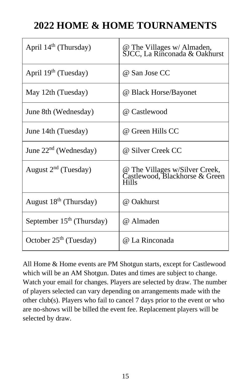# **2022 HOME & HOME TOURNAMENTS**

| April $14th$ (Thursday)     | @ The Villages w/ Almaden,<br>SJCC, La Rinconada & Oakhurst               |
|-----------------------------|---------------------------------------------------------------------------|
| April $19th$ (Tuesday)      | @ San Jose CC                                                             |
| May 12th (Tuesday)          | @ Black Horse/Bayonet                                                     |
| June 8th (Wednesday)        | @ Castlewood                                                              |
| June 14th (Tuesday)         | @ Green Hills CC                                                          |
| June $22nd$ (Wednesday)     | @ Silver Creek CC                                                         |
| August $2nd$ (Tuesday)      | @ The Villages w/Silver Creek,<br>Castlewood, Blackhorse & Green<br>Hills |
| August $18th$ (Thursday)    | @ Oakhurst                                                                |
| September $15th$ (Thursday) | @ Almaden                                                                 |
| October $25th$ (Tuesday)    | @ La Rinconada                                                            |

All Home & Home events are PM Shotgun starts, except for Castlewood which will be an AM Shotgun. Dates and times are subject to change. Watch your email for changes. Players are selected by draw. The number of players selected can vary depending on arrangements made with the other club(s). Players who fail to cancel 7 days prior to the event or who are no-shows will be billed the event fee. Replacement players will be selected by draw.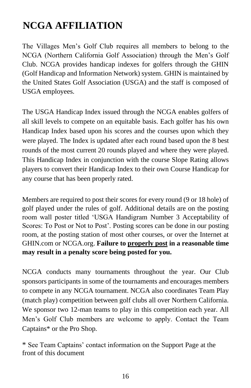# **NCGA AFFILIATION**

The Villages Men's Golf Club requires all members to belong to the NCGA (Northern California Golf Association) through the Men's Golf Club. NCGA provides handicap indexes for golfers through the GHIN (Golf Handicap and Information Network) system. GHIN is maintained by the United States Golf Association (USGA) and the staff is composed of USGA employees.

The USGA Handicap Index issued through the NCGA enables golfers of all skill levels to compete on an equitable basis. Each golfer has his own Handicap Index based upon his scores and the courses upon which they were played. The Index is updated after each round based upon the 8 best rounds of the most current 20 rounds played and where they were played. This Handicap Index in conjunction with the course Slope Rating allows players to convert their Handicap Index to their own Course Handicap for any course that has been properly rated.

Members are required to post their scores for every round (9 or 18 hole) of golf played under the rules of golf. Additional details are on the posting room wall poster titled 'USGA Handigram Number 3 Acceptability of Scores: To Post or Not to Post'. Posting scores can be done in our posting room, at the posting station of most other courses, or over the Internet at GHIN.com or NCGA.org. **Failure to properly post in a reasonable time may result in a penalty score being posted for you.**

NCGA conducts many tournaments throughout the year. Our Club sponsors participants in some of the tournaments and encourages members to compete in any NCGA tournament. NCGA also coordinates Team Play (match play) competition between golf clubs all over Northern California. We sponsor two 12-man teams to play in this competition each year. All Men's Golf Club members are welcome to apply. Contact the Team Captains\* or the Pro Shop.

\* See Team Captains' contact information on the Support Page at the front of this document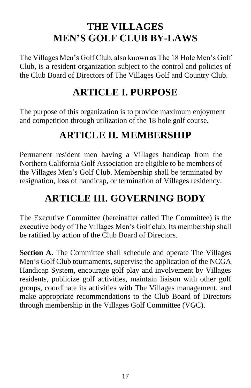# **THE VILLAGES MEN'S GOLF CLUB BY-LAWS**

The Villages Men's Golf Club, also known as The 18 Hole Men's Golf Club, is a resident organization subject to the control and policies of the Club Board of Directors of The Villages Golf and Country Club.

### **ARTICLE I. PURPOSE**

The purpose of this organization is to provide maximum enjoyment and competition through utilization of the 18 hole golf course.

# **ARTICLE II. MEMBERSHIP**

Permanent resident men having a Villages handicap from the Northern California Golf Association are eligible to be members of the Villages Men's Golf Club. Membership shall be terminated by resignation, loss of handicap, or termination of Villages residency.

# **ARTICLE III. GOVERNING BODY**

The Executive Committee (hereinafter called The Committee) is the executive body of The Villages Men's Golf club. Its membership shall be ratified by action of the Club Board of Directors.

**Section A.** The Committee shall schedule and operate The Villages Men's Golf Club tournaments, supervise the application of the NCGA Handicap System, encourage golf play and involvement by Villages residents, publicize golf activities, maintain liaison with other golf groups, coordinate its activities with The Villages management, and make appropriate recommendations to the Club Board of Directors through membership in the Villages Golf Committee (VGC).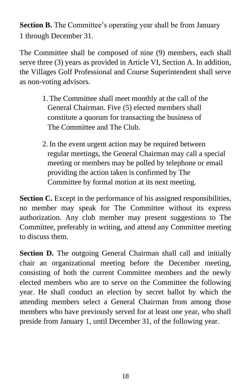**Section B.** The Committee's operating year shall be from January 1 through December 31.

The Committee shall be composed of nine (9) members, each shall serve three (3) years as provided in Article VI, Section A. In addition, the Villages Golf Professional and Course Superintendent shall serve as non-voting advisors.

- 1. The Committee shall meet monthly at the call of the General Chairman. Five (5) elected members shall constitute a quorum for transacting the business of The Committee and The Club.
- 2. In the event urgent action may be required between regular meetings, the General Chairman may call a special meeting or members may be polled by telephone or email providing the action taken is confirmed by The Committee by formal motion at its next meeting.

**Section C.** Except in the performance of his assigned responsibilities, no member may speak for The Committee without its express authorization. Any club member may present suggestions to The Committee, preferably in writing, and attend any Committee meeting to discuss them.

**Section D.** The outgoing General Chairman shall call and initially chair an organizational meeting before the December meeting, consisting of both the current Committee members and the newly elected members who are to serve on the Committee the following year. He shall conduct an election by secret ballot by which the attending members select a General Chairman from among those members who have previously served for at least one year, who shall preside from January 1, until December 31, of the following year.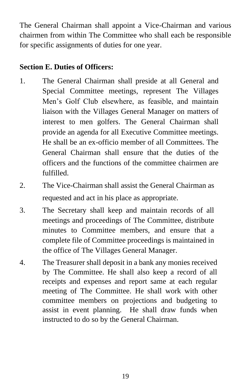The General Chairman shall appoint a Vice-Chairman and various chairmen from within The Committee who shall each be responsible for specific assignments of duties for one year.

#### **Section E. Duties of Officers:**

- 1. The General Chairman shall preside at all General and Special Committee meetings, represent The Villages Men's Golf Club elsewhere, as feasible, and maintain liaison with the Villages General Manager on matters of interest to men golfers. The General Chairman shall provide an agenda for all Executive Committee meetings. He shall be an ex-officio member of all Committees. The General Chairman shall ensure that the duties of the officers and the functions of the committee chairmen are fulfilled.
- 2. The Vice-Chairman shall assist the General Chairman as requested and act in his place as appropriate.
- 3. The Secretary shall keep and maintain records of all meetings and proceedings of The Committee, distribute minutes to Committee members, and ensure that a complete file of Committee proceedings is maintained in the office of The Villages General Manager.
- 4. The Treasurer shall deposit in a bank any monies received by The Committee. He shall also keep a record of all receipts and expenses and report same at each regular meeting of The Committee. He shall work with other committee members on projections and budgeting to assist in event planning. He shall draw funds when instructed to do so by the General Chairman.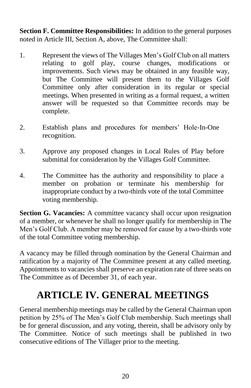**Section F. Committee Responsibilities:** In addition to the general purposes noted in Article III, Section A, above, The Committee shall:

- 1. Represent the views of The Villages Men's Golf Club on all matters relating to golf play, course changes, modifications or improvements. Such views may be obtained in any feasible way, but The Committee will present them to the Villages Golf Committee only after consideration in its regular or special meetings. When presented in writing as a formal request, a written answer will be requested so that Committee records may be complete.
- 2. Establish plans and procedures for members' Hole-In-One recognition.
- 3. Approve any proposed changes in Local Rules of Play before submittal for consideration by the Villages Golf Committee.
- 4. The Committee has the authority and responsibility to place a member on probation or terminate his membership for inappropriate conduct by a two-thirds vote of the total Committee voting membership.

**Section G. Vacancies:** A committee vacancy shall occur upon resignation of a member, or whenever he shall no longer qualify for membership in The Men's Golf Club. A member may be removed for cause by a two-thirds vote of the total Committee voting membership.

A vacancy may be filled through nomination by the General Chairman and ratification by a majority of The Committee present at any called meeting. Appointments to vacancies shall preserve an expiration rate of three seats on The Committee as of December 31, of each year.

### **ARTICLE IV. GENERAL MEETINGS**

General membership meetings may be called by the General Chairman upon petition by 25% of The Men's Golf Club membership. Such meetings shall be for general discussion, and any voting, therein, shall be advisory only by The Committee. Notice of such meetings shall be published in two consecutive editions of The Villager prior to the meeting.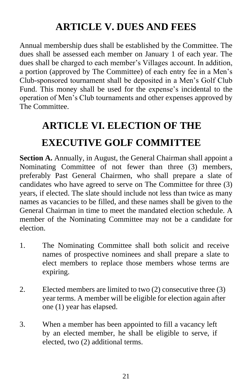## **ARTICLE V. DUES AND FEES**

Annual membership dues shall be established by the Committee. The dues shall be assessed each member on January 1 of each year. The dues shall be charged to each member's Villages account. In addition, a portion (approved by The Committee) of each entry fee in a Men's Club-sponsored tournament shall be deposited in a Men's Golf Club Fund. This money shall be used for the expense's incidental to the operation of Men's Club tournaments and other expenses approved by The Committee.

# **ARTICLE VI. ELECTION OF THE EXECUTIVE GOLF COMMITTEE**

**Section A.** Annually, in August, the General Chairman shall appoint a Nominating Committee of not fewer than three (3) members, preferably Past General Chairmen, who shall prepare a slate of candidates who have agreed to serve on The Committee for three (3) years, if elected. The slate should include not less than twice as many names as vacancies to be filled, and these names shall be given to the General Chairman in time to meet the mandated election schedule. A member of the Nominating Committee may not be a candidate for election.

- 1. The Nominating Committee shall both solicit and receive names of prospective nominees and shall prepare a slate to elect members to replace those members whose terms are expiring.
- 2. Elected members are limited to two (2) consecutive three (3) year terms. A member will be eligible for election again after one (1) year has elapsed.
- 3. When a member has been appointed to fill a vacancy left by an elected member, he shall be eligible to serve, if elected, two (2) additional terms.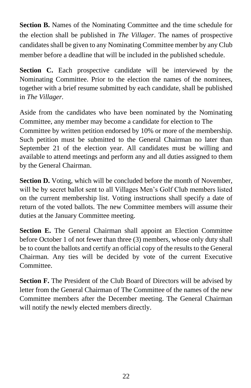**Section B.** Names of the Nominating Committee and the time schedule for the election shall be published in *The Villager*. The names of prospective candidates shall be given to any Nominating Committee member by any Club member before a deadline that will be included in the published schedule.

**Section C.** Each prospective candidate will be interviewed by the Nominating Committee. Prior to the election the names of the nominees, together with a brief resume submitted by each candidate, shall be published in *The Villager.*

Aside from the candidates who have been nominated by the Nominating Committee, any member may become a candidate for election to The Committee by written petition endorsed by 10% or more of the membership. Such petition must be submitted to the General Chairman no later than September 21 of the election year. All candidates must be willing and available to attend meetings and perform any and all duties assigned to them by the General Chairman.

**Section D.** Voting, which will be concluded before the month of November, will be by secret ballot sent to all Villages Men's Golf Club members listed on the current membership list. Voting instructions shall specify a date of return of the voted ballots. The new Committee members will assume their duties at the January Committee meeting.

**Section E.** The General Chairman shall appoint an Election Committee before October 1 of not fewer than three (3) members, whose only duty shall be to count the ballots and certify an official copy of the results to the General Chairman. Any ties will be decided by vote of the current Executive **Committee** 

**Section F.** The President of the Club Board of Directors will be advised by letter from the General Chairman of The Committee of the names of the new Committee members after the December meeting. The General Chairman will notify the newly elected members directly.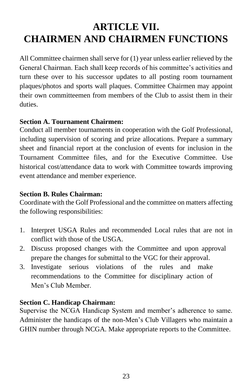# **ARTICLE VII. CHAIRMEN AND CHAIRMEN FUNCTIONS**

All Committee chairmen shall serve for (1) year unless earlier relieved by the General Chairman. Each shall keep records of his committee's activities and turn these over to his successor updates to all posting room tournament plaques/photos and sports wall plaques. Committee Chairmen may appoint their own committeemen from members of the Club to assist them in their duties.

#### **Section A. Tournament Chairmen:**

Conduct all member tournaments in cooperation with the Golf Professional, including supervision of scoring and prize allocations. Prepare a summary sheet and financial report at the conclusion of events for inclusion in the Tournament Committee files, and for the Executive Committee. Use historical cost/attendance data to work with Committee towards improving event attendance and member experience.

#### **Section B. Rules Chairman:**

Coordinate with the Golf Professional and the committee on matters affecting the following responsibilities:

- 1. Interpret USGA Rules and recommended Local rules that are not in conflict with those of the USGA.
- 2. Discuss proposed changes with the Committee and upon approval prepare the changes for submittal to the VGC for their approval.
- 3. Investigate serious violations of the rules and make recommendations to the Committee for disciplinary action of Men's Club Member.

#### **Section C. Handicap Chairman:**

Supervise the NCGA Handicap System and member's adherence to same. Administer the handicaps of the non-Men's Club Villagers who maintain a GHIN number through NCGA. Make appropriate reports to the Committee.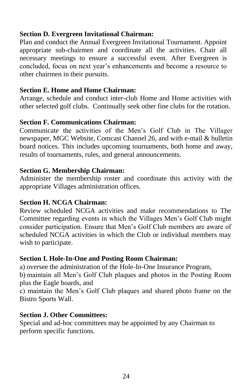#### **Section D. Evergreen Invitational Chairman:**

Plan and conduct the Annual Evergreen Invitational Tournament. Appoint appropriate sub-chairmen and coordinate all the activities. Chair all necessary meetings to ensure a successful event. After Evergreen is concluded, focus on next year's enhancements and become a resource to other chairmen in their pursuits.

#### **Section E. Home and Home Chairman:**

Arrange, schedule and conduct inter-club Home and Home activities with other selected golf clubs. Continually seek other fine clubs for the rotation.

#### **Section F. Communications Chairman:**

Communicate the activities of the Men's Golf Club in The Villager newspaper, MGC Website, Comcast Channel 26, and with e-mail & bulletin board notices. This includes upcoming tournaments, both home and away, results of tournaments, rules, and general announcements.

#### **Section G. Membership Chairman:**

Administer the membership roster and coordinate this activity with the appropriate Villages administration offices.

#### **Section H. NCGA Chairman:**

Review scheduled NCGA activities and make recommendations to The Committee regarding events in which the Villages Men's Golf Club might consider participation. Ensure that Men's Golf Club members are aware of scheduled NCGA activities in which the Club or individual members may wish to participate.

#### **Section I. Hole-In-One and Posting Room Chairman:**

a) oversee the administration of the Hole-In-One Insurance Program,

b) maintain all Men's Golf Club plaques and photos in the Posting Room plus the Eagle boards, and

c) maintain the Men's Golf Club plaques and shared photo frame on the Bistro Sports Wall.

#### **Section J. Other Committees:**

Special and ad-hoc committees may be appointed by any Chairman to perform specific functions.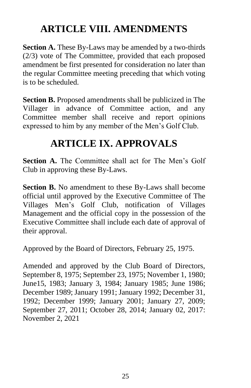# **ARTICLE VIII. AMENDMENTS**

**Section A.** These By-Laws may be amended by a two-thirds (2/3) vote of The Committee, provided that each proposed amendment be first presented for consideration no later than the regular Committee meeting preceding that which voting is to be scheduled.

**Section B.** Proposed amendments shall be publicized in The Villager in advance of Committee action, and any Committee member shall receive and report opinions expressed to him by any member of the Men's Golf Club.

## **ARTICLE IX. APPROVALS**

**Section A.** The Committee shall act for The Men's Golf Club in approving these By-Laws.

**Section B.** No amendment to these By-Laws shall become official until approved by the Executive Committee of The Villages Men's Golf Club, notification of Villages Management and the official copy in the possession of the Executive Committee shall include each date of approval of their approval.

Approved by the Board of Directors, February 25, 1975.

Amended and approved by the Club Board of Directors, September 8, 1975; September 23, 1975; November 1, 1980; June15, 1983; January 3, 1984; January 1985; June 1986; December 1989; January 1991; January 1992; December 31, 1992; December 1999; January 2001; January 27, 2009; September 27, 2011; October 28, 2014; January 02, 2017: November 2, 2021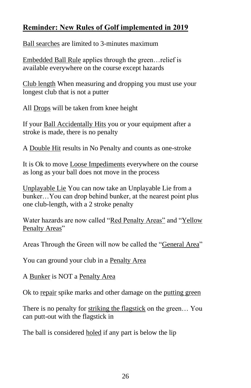#### **Reminder: New Rules of Golf implemented in 2019**

Ball searches are limited to 3-minutes maximum

Embedded Ball Rule applies through the green…relief is available everywhere on the course except hazards

Club length When measuring and dropping you must use your longest club that is not a putter

All Drops will be taken from knee height

If your Ball Accidentally Hits you or your equipment after a stroke is made, there is no penalty

A Double Hit results in No Penalty and counts as one-stroke

It is Ok to move Loose Impediments everywhere on the course as long as your ball does not move in the process

Unplayable Lie You can now take an Unplayable Lie from a bunker…You can drop behind bunker, at the nearest point plus one club-length, with a 2 stroke penalty

Water hazards are now called "Red Penalty Areas" and "Yellow Penalty Areas"

Areas Through the Green will now be called the "General Area"

You can ground your club in a Penalty Area

A Bunker is NOT a Penalty Area

Ok to repair spike marks and other damage on the putting green

There is no penalty for striking the flagstick on the green… You can putt-out with the flagstick in

The ball is considered holed if any part is below the lip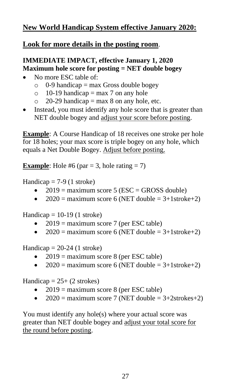#### **New World Handicap System effective January 2020:**

#### **Look for more details in the posting room**.

#### **IMMEDIATE IMPACT, effective January 1, 2020 Maximum hole score for posting = NET double bogey**

- No more ESC table of:
	- $\circ$  0-9 handicap = max Gross double bogey
	- $\circ$  10-19 handicap = max 7 on any hole
	- $\degree$  20-29 handicap = max 8 on any hole, etc.
- Instead, you must identify any hole score that is greater than NET double bogey and adjust your score before posting.

**Example**: A Course Handicap of 18 receives one stroke per hole for 18 holes; your max score is triple bogey on any hole, which equals a Net Double Bogey. Adjust before posting.

**Example:** Hole #6 (par  $=$  3, hole rating  $=$  7)

Handicap  $= 7-9$  (1 stroke)

- $2019$  = maximum score 5 (ESC = GROSS double)
- $2020 =$  maximum score 6 (NET double =  $3+1$ stroke+2)

Handicap  $= 10-19$  (1 stroke)

- $2019$  = maximum score 7 (per ESC table)
- $2020 =$  maximum score 6 (NET double =  $3+1$  stroke+2)

Handicap  $= 20-24$  (1 stroke)

- $2019 =$  maximum score 8 (per ESC table)
- $2020 =$  maximum score 6 (NET double =  $3+1$ stroke+2)

Handicap  $= 25+ (2 \text{ strokes})$ 

- $2019 = \text{maximum score } 8 \text{ (per ESC table)}$
- $2020 =$  maximum score 7 (NET double =  $3+2$ strokes+2)

You must identify any hole(s) where your actual score was greater than NET double bogey and adjust your total score for the round before posting.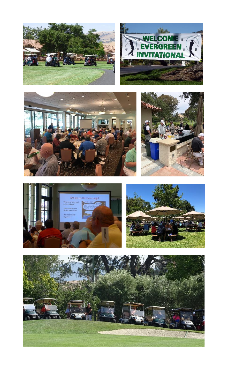